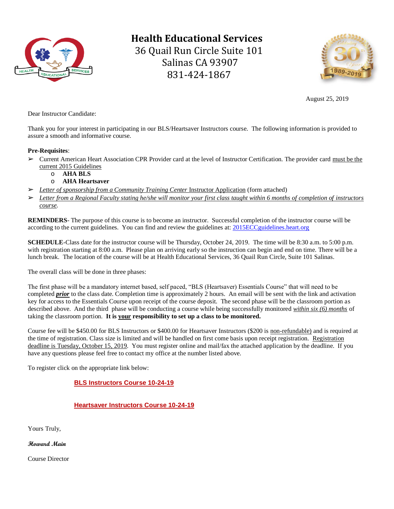

**Health Educational Services** 36 Quail Run Circle Suite 101 Salinas CA 93907 831-424-1867



August 25, 2019

Dear Instructor Candidate:

Thank you for your interest in participating in our BLS/Heartsaver Instructors course. The following information is provided to assure a smooth and informative course.

## **Pre-Requisites**:

- ➢ Current American Heart Association CPR Provider card at the level of Instructor Certification. The provider card must be the current 2015 Guidelines
	- o **AHA BLS**
	- o **AHA Heartsaver**
- ➢ *Letter of sponsorship from a Community Training Center* Instructor Application (form attached)
- ➢ *Letter from a Regional Faculty stating he/she will monitor your first class taught within 6 months of completion of instructors course.*

**REMINDERS**- The purpose of this course is to become an instructor. Successful completion of the instructor course will be according to the current guidelines. You can find and review the guidelines at[: 2015ECCguidelines.heart.org](http://www.2015eccguidelines.heart.org/)

**SCHEDULE**-Class date for the instructor course will be Thursday, October 24, 2019. The time will be 8:30 a.m. to 5:00 p.m. with registration starting at 8:00 a.m. Please plan on arriving early so the instruction can begin and end on time. There will be a lunch break. The location of the course will be at Health Educational Services, 36 Quail Run Circle, Suite 101 Salinas.

The overall class will be done in three phases:

The first phase will be a mandatory internet based, self paced, "BLS (Heartsaver) Essentials Course" that will need to be completed *prior* to the class date. Completion time is approximately 2 hours. An email will be sent with the link and activation key for access to the Essentials Course upon receipt of the course deposit. The second phase will be the classroom portion as described above. And the third phase will be conducting a course while being successfully monitored *within six (6) months* of taking the classroom portion. **It is your responsibility to set up a class to be monitored.**

Course fee will be \$450.00 for BLS Instructors or \$400.00 for Heartsaver Instructors (\$200 is non-refundable) and is required at the time of registration. Class size is limited and will be handled on first come basis upon receipt registration. Registration deadline is Tuesday, October 15, 2019. You must register online and mail/fax the attached application by the deadline. If you have any questions please feel free to contact my office at the number listed above.

To register click on the appropriate link below:

## **[BLS Instructors Course 10-24-19](https://healthedservices.enrollware.com/enroll?id=2748127)**

## **[Heartsaver Instructors Course 10-24-19](https://healthedservices.enrollware.com/enroll?id=2748130)**

Yours Truly,

**Howard Main**

Course Director